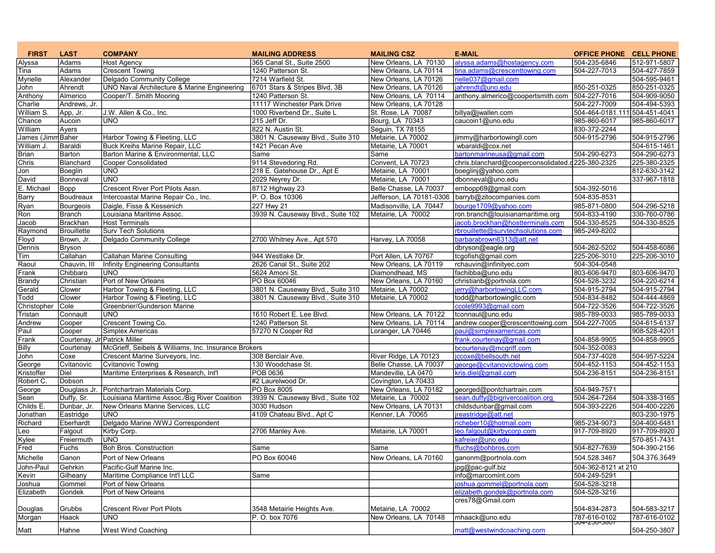| <b>FIRST</b>      | <b>LAST</b>                  | <b>COMPANY</b>                                         | <b>MAILING ADDRESS</b>            | <b>MAILING CSZ</b>       | <b>E-MAIL</b>                                    | <b>OFFICE PHONE CELL PHONE</b> |              |
|-------------------|------------------------------|--------------------------------------------------------|-----------------------------------|--------------------------|--------------------------------------------------|--------------------------------|--------------|
| Alyssa            | Adams                        | <b>Host Agency</b>                                     | 365 Canal St., Suite 2500         | New Orleans, LA 70130    | alyssa.adams@hostagency.com                      | 504-235-6846                   | 512-971-5807 |
| Tina              | Adams                        | <b>Crescent Towing</b>                                 | 1240 Patterson St.                | New Orleans, LA 70114    | tina.adams@crescenttowing.com                    | 504-227-7013                   | 504-427-7859 |
| Myrielle          | Alexander                    | Delgado Community College                              | 7214 Warfield St.                 | New Orleans. LA 70126    | rielle037@gmail.com                              |                                | 504-595-9461 |
| John              | Ahrendt                      | <b>UNO Naval Architecture &amp; Marine Engineering</b> | 6701 Stars & Stripes Blvd, 3B     | New Orleans, LA 70126    | jahrendt@uno.edu                                 | 850-251-0325                   | 850-251-0325 |
| Anthony           | Almerico                     | Cooper/T. Smith Mooring                                | 1240 Patterson St.                | New Orleans, LA 70114    | anthony.almerico@coopertsmith.com                | 504-227-7016                   | 504-909-9050 |
| Charlie           | Andrews, Jr.                 |                                                        | 11117 Winchester Park Drive       | New Orleans, LA 70128    |                                                  | 504-227-7009                   | 504-494-5393 |
| William S.        | App, Jr.                     | J.W. Allen & Co., Inc.                                 | 1000 Riverbend Dr., Suite L       | St. Rose, LA 70087       | billya@jwallen.com                               | 504-464-0181.111 504-451-4041  |              |
| Chance            | Aucoin                       | UNO                                                    | 215 Jeff Dr.                      | Bourg, LA 70343          | caucoin1@uno.edu                                 | 985-860-6017                   | 985-860-6017 |
| William           | Ayers                        |                                                        | 822 N. Austin St.                 | Seguin, TX 78155         |                                                  | 830-372-2244                   |              |
| James (Jimm Baher |                              | Harbor Towing & Fleeting, LLC                          | 3801 N. Causeway Blvd., Suite 310 | Metairie, LA 70002       | jimmy@harbortowingll.com                         | 504-915-2796                   | 504-915-2796 |
| William J.        | Baraldi                      | <b>Buck Kreihs Marine Repair, LLC</b>                  | 1421 Pecan Ave                    | Metairie, LA 70001       | wbaraldi@cox.net                                 |                                | 504-615-1461 |
| <b>Brian</b>      | Barton                       | Barton Marine & Environmental, LLC                     | Same                              | Same                     | bartonmarineusa@gmail.com                        | 504-290-6273                   | 504-290-6273 |
| Chris             | Blanchard                    | Cooper Consolidated                                    | 9114 Stevedoring Rd.              | Convent, LA 70723        | chris.blanchard@cooperconsolidated.d225-380-2325 |                                | 225-380-2325 |
| Jon               | Boeglin                      | UNO.                                                   | 218 E. Gatehouse Dr., Apt E       | Metairie, LA 70001       | boeglinj@yahoo.com                               |                                | 812-630-3142 |
| David             | Bonneval                     | <b>UNO</b>                                             | 2029 Neyrey Dr.                   | Metairie, LA 70001       | dbonneval@uno.edu                                |                                | 337-967-1818 |
| E. Michael        | Bopp                         | Crescent River Port Pilots Assn.                       | 8712 Highway 23                   | Belle Chasse, LA 70037   | embopp69@gmail.com                               | 504-392-5016                   |              |
| <b>Barry</b>      | Boudreaux                    | Intercoastal Marine Repair Co., Inc.                   | P. O. Box 10306                   | Jefferson, LA 70181-0306 | barryb@zitocompanies.com                         | 504-835-8531                   |              |
| Ryan              | Bourgeois                    | Daigle, Fisse & Kessenich                              | 227 Hwy 21                        | Madisonville, LA 70447   | bourge1709@yahoo.com                             | 985-871-0800                   | 504-296-5218 |
| Ron               | <b>Branch</b>                | Louisiana Maritime Assoc.                              | 3939 N. Causeway Blvd., Suite 102 | Metairie, LA 70002       | ron.branch@louisianamaritime.org                 | 504-833-4190                   | 330-760-0786 |
| Jacob             | <b>Brackhan</b>              | <b>Host Terminals</b>                                  |                                   |                          | jacob.brockhan@hostterminals.com                 | 504-330-8525                   | 504-330-8525 |
| Raymond           | Brouillette                  | <b>Surv Tech Solutions</b>                             |                                   |                          | rbrouillette@survtechsolutions.com               | 985-249-8202                   |              |
| Floyd             | Brown, Jr.                   | Delgado Community College                              | 2700 Whitney Ave., Apt 570        | Harvey, LA 70058         | barbarabrown6313@att.net                         |                                |              |
| Dennis            | <b>Bryson</b>                |                                                        |                                   |                          | dbryson@eagle.org                                | 504-262-5202                   | 504-458-6086 |
| Tim               | Callahan                     | <b>Callahan Marine Consulting</b>                      | 944 Westlake Dr.                  | Port Allen, LA 70767     | tcgofish@gmail.com                               | 225-206-3010                   | 225-206-3010 |
| Raoul             | Chauvin, III                 | <b>Infinity Engineering Consultants</b>                | 2626 Canal St., Suite 202         | New Orleans, LA 70119    | rchauvin@infinityec.com                          | 504-304-0548                   |              |
| Frank             | Chibbaro                     | <b>UNO</b>                                             | 5624 Amoni St.                    | Diamondhead, MS          | fachibba@uno.edu                                 | 803-606-9470                   | 803-606-9470 |
| <b>Brandy</b>     | Christian                    | Port of New Orleans                                    | PO Box 60046                      | New Orleans, LA 70160    | christianb@portnola.com                          | 504-528-3232                   | 504-220-6214 |
| Gerald            | Clower                       | Harbor Towing & Fleeting, LLC                          | 3801 N. Causeway Blvd., Suite 310 | Metairie, LA 70002       | jerry@harbortowingLLC.com                        | 504-915-2794                   | 504-915-2794 |
| Todd              | Clower                       | Harbor Towing & Fleeting, LLC                          | 3801 N. Causeway Blyd., Suite 310 | Metairie, LA 70002       | todd@harbortowingllc.com                         | 504-834-8482                   | 504-444-4869 |
| Christopher       | Cole                         | Greenbrier/Gunderson Marine                            |                                   |                          | ccole9993@gmail.com                              | 504-722-3526                   | 504-722-3526 |
| Tristan           | Connault                     | <b>UNO</b>                                             | 1610 Robert E. Lee Blvd.          | New Orleans, LA 70122    | tconnaul@uno.edu                                 | 985-789-0033                   | 985-789-0033 |
| Andrew            | Cooper                       | Crescent Towing Co.                                    | 1240 Patterson St.                | New Orleans, LA 70114    | andrew.cooper@crescenttowing.com                 | 504-227-7005                   | 504-615-6137 |
| Paul              | Cooper                       | Simplex Americas                                       | 57270 N Cooper Rd                 | Loranger, LA 70446       | paul@simplexamericas.com                         |                                | 908-528-4201 |
| Frank             | Courtenay, Jr Patrick Miller |                                                        |                                   |                          | frank.courtenay@gmail.com                        | 504-858-9905                   | 504-858-9905 |
| <b>Billy</b>      | Courtenay                    | McGrieff, Seibels & Williams, Inc. Insurance Brokers   |                                   |                          | bcourtenay@mcgriff.com                           | 504-352-0083                   |              |
| John              | Coxe                         | Crescent Marine Surveyors, Inc.                        | 308 Berclair Ave.                 | River Ridge, LA 70123    | jccoxe@bellsouth.net                             | 504-737-4028                   | 504-957-5224 |
| George            | Cvitanovic                   | <b>Cvitanovic Towing</b>                               | 130 Woodchase St.                 | Belle Chasse, LA 70037   | george@cvitanovictowing.com                      | 504-452-1153                   | 504-452-1153 |
| Kristoffer        | Diel                         | Maritime Enterprises & Research, Int'l                 | <b>POB 0636</b>                   | Mandeville, LA 0470      | kris.diel@gmail.com                              | 504-236-8151                   | 504-236-8151 |
| Robert C.         | Dobson                       |                                                        | #2 Laurelwood Dr.                 | Covington, LA 70433      |                                                  |                                |              |
| George            | Douglass Jr.                 | Pontchartrain Materials Corp.                          | <b>PO Box 8005</b>                | New Orleans, LA 70182    | georged@pontchartrain.com                        | 504-949-7571                   |              |
| Sean              | Duffy, Sr.                   | Louisiana Maritime Assoc./Big River Coalition          | 3939 N. Causeway Blvd., Suite 102 | Metairie, La 70002       | sean.duffy@bigrivercoalition.org                 | 504-264-7264                   | 504-338-3165 |
| Childs E.         | Dunbar, Jr.                  | New Orleans Marine Services, LLC                       | 3030 Hudson                       | New Orleans, LA 70131    | childsdunbar@gmail.com                           | 504-393-2226                   | 504-400-2226 |
| Jonathan          | Eastridge                    | UNO                                                    | 4109 Chateau Blvd., Apt C         | Kenner, LA 70065         | jreastridge@att.net                              |                                | 803-230-1975 |
| Richard           | Eberhardt                    | Delgado Marine /WWJ Correspondent                      |                                   |                          | richeber10@hotmail.com                           | 985-234-9073                   | 504-400-6481 |
| Leo               | Falgout                      | Kirby Corp.                                            | 2706 Manley Ave.                  | Metairie, LA 70001       | leo.falgout@kirbycorp.com                        | 917-709-8920                   | 917-709-8920 |
| Kylee             | Freiermuth                   | <b>UNO</b>                                             |                                   |                          | kafreier@uno.edu                                 |                                | 570-851-7431 |
| Fred              | Fuchs                        | <b>Boh Bros. Construction</b>                          | Same                              | Same                     | ffuchs@bohbros.com                               | 504-827-7639                   | 504-390-2156 |
| Michelle          | Ganon                        | Port of New Orleans                                    | PO Box 60046                      | New Orleans, LA 70160    | ganonm@portnola.com                              | 504.528.3467                   | 504.376.3649 |
| John-Paul         | Gehrkin                      | Pacific-Gulf Marine Inc.                               |                                   |                          | jpg@pac-gulf.biz                                 | 504-362-8121 xt 210            |              |
| Kevin             | Gilheany                     | Maritime Compliance Int'l LLC                          | Same                              |                          | info@marcomint.com                               | 504-249-5291                   |              |
| Joshua            | Gommel                       | Port of New Orleans                                    |                                   |                          | joshua.gommel@portnola.com                       | 504-528-3218                   |              |
| Elizabeth         | Gondek                       | Port of New Orleans                                    |                                   |                          | elizabeth.gondek@portnola.com                    | 504-528-3216                   |              |
|                   |                              |                                                        |                                   |                          | cres78@Gmail.com                                 |                                |              |
| Douglas           | Grubbs                       | <b>Crescent River Port Pilots</b>                      | 3548 Metairie Heights Ave.        | Metairie, LA 70002       |                                                  | 504-834-2873                   | 504-583-3217 |
| Morgan            | Haack                        | uno                                                    | P. O. box 7076                    | New Orleans, LA 70148    | mhaack@uno.edu                                   | 787-616-0102                   | 787-616-0102 |
|                   |                              |                                                        |                                   |                          |                                                  | <b>JU4-ZJU-JOUT</b>            |              |
| Matt              | Hahne                        | West Wind Coaching                                     |                                   |                          | matt@westwindcoaching.com                        |                                | 504-250-3807 |